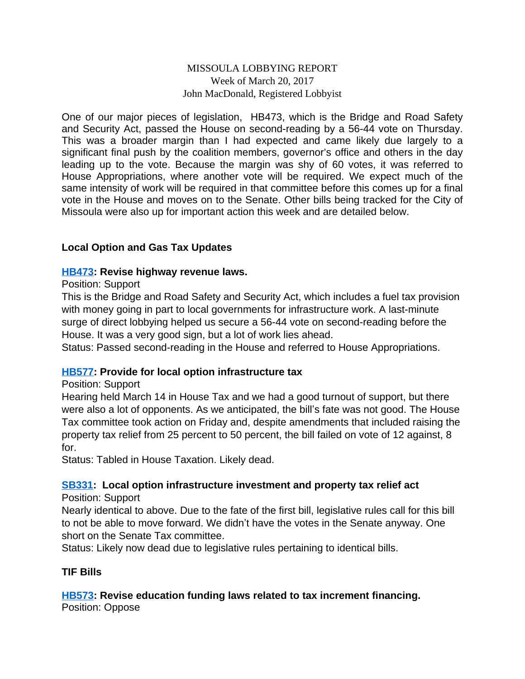## MISSOULA LOBBYING REPORT Week of March 20, 2017 John MacDonald, Registered Lobbyist

One of our major pieces of legislation, HB473, which is the Bridge and Road Safety and Security Act, passed the House on second-reading by a 56-44 vote on Thursday. This was a broader margin than I had expected and came likely due largely to a significant final push by the coalition members, governor's office and others in the day leading up to the vote. Because the margin was shy of 60 votes, it was referred to House Appropriations, where another vote will be required. We expect much of the same intensity of work will be required in that committee before this comes up for a final vote in the House and moves on to the Senate. Other bills being tracked for the City of Missoula were also up for important action this week and are detailed below.

# **Local Option and Gas Tax Updates**

#### **[HB473](http://laws.leg.mt.gov/legprd/LAW0210W$BSIV.ActionQuery?P_BILL_NO1=473&P_BLTP_BILL_TYP_CD=HB&Z_ACTION=Find&P_SESS=20171): Revise highway revenue laws.**

#### Position: Support

This is the Bridge and Road Safety and Security Act, which includes a fuel tax provision with money going in part to local governments for infrastructure work. A last-minute surge of direct lobbying helped us secure a 56-44 vote on second-reading before the House. It was a very good sign, but a lot of work lies ahead.

Status: Passed second-reading in the House and referred to House Appropriations.

#### **[HB577](http://laws.leg.mt.gov/legprd/LAW0210W$BSIV.ActionQuery?P_BILL_NO1=577&P_BLTP_BILL_TYP_CD=HB&Z_ACTION=Find&P_SESS=20171): Provide for local option infrastructure tax**

#### Position: Support

Hearing held March 14 in House Tax and we had a good turnout of support, but there were also a lot of opponents. As we anticipated, the bill's fate was not good. The House Tax committee took action on Friday and, despite amendments that included raising the property tax relief from 25 percent to 50 percent, the bill failed on vote of 12 against, 8 for.

Status: Tabled in House Taxation. Likely dead.

# **[SB331:](http://laws.leg.mt.gov/legprd/LAW0210W$BSIV.ActionQuery?P_BILL_NO1=331&P_BLTP_BILL_TYP_CD=SB&Z_ACTION=Find&P_SESS=20171) Local option infrastructure investment and property tax relief act**

#### Position: Support

Nearly identical to above. Due to the fate of the first bill, legislative rules call for this bill to not be able to move forward. We didn't have the votes in the Senate anyway. One short on the Senate Tax committee.

Status: Likely now dead due to legislative rules pertaining to identical bills.

# **TIF Bills**

#### **[HB573](http://laws.leg.mt.gov/legprd/LAW0210W$BSIV.ActionQuery?P_BILL_NO1=573&P_BLTP_BILL_TYP_CD=HB&Z_ACTION=Find&P_SESS=20171): Revise education funding laws related to tax increment financing.** Position: Oppose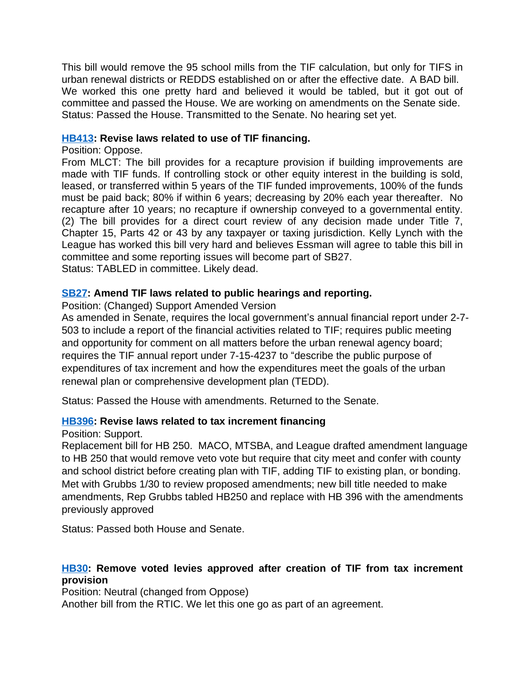This bill would remove the 95 school mills from the TIF calculation, but only for TIFS in urban renewal districts or REDDS established on or after the effective date. A BAD bill. We worked this one pretty hard and believed it would be tabled, but it got out of committee and passed the House. We are working on amendments on the Senate side. Status: Passed the House. Transmitted to the Senate. No hearing set yet.

## **[HB413](http://laws.leg.mt.gov/legprd/LAW0210W$BSIV.ActionQuery?P_BILL_NO1=413&P_BLTP_BILL_TYP_CD=HB&Z_ACTION=Find&P_SESS=20171): Revise laws related to use of TIF financing.**

#### Position: Oppose.

From MLCT: The bill provides for a recapture provision if building improvements are made with TIF funds. If controlling stock or other equity interest in the building is sold, leased, or transferred within 5 years of the TIF funded improvements, 100% of the funds must be paid back; 80% if within 6 years; decreasing by 20% each year thereafter. No recapture after 10 years; no recapture if ownership conveyed to a governmental entity. (2) The bill provides for a direct court review of any decision made under Title 7, Chapter 15, Parts 42 or 43 by any taxpayer or taxing jurisdiction. Kelly Lynch with the League has worked this bill very hard and believes Essman will agree to table this bill in committee and some reporting issues will become part of SB27. Status: TABLED in committee. Likely dead.

# **[SB27](http://laws.leg.mt.gov/legprd/LAW0210W$BSIV.ActionQuery?P_BILL_NO1=27&P_BLTP_BILL_TYP_CD=SB&Z_ACTION=Find&P_SESS=20171): Amend TIF laws related to public hearings and reporting.**

Position: (Changed) Support Amended Version

As amended in Senate, requires the local government's annual financial report under 2-7- 503 to include a report of the financial activities related to TIF; requires public meeting and opportunity for comment on all matters before the urban renewal agency board; requires the TIF annual report under 7-15-4237 to "describe the public purpose of expenditures of tax increment and how the expenditures meet the goals of the urban renewal plan or comprehensive development plan (TEDD).

Status: Passed the House with amendments. Returned to the Senate.

# **[HB396](http://laws.leg.mt.gov/legprd/LAW0210W$BSIV.ActionQuery?P_BILL_NO1=396&P_BLTP_BILL_TYP_CD=HB&Z_ACTION=Find&P_SESS=20171): Revise laws related to tax increment financing**

Position: Support.

Replacement bill for HB 250. MACO, MTSBA, and League drafted amendment language to HB 250 that would remove veto vote but require that city meet and confer with county and school district before creating plan with TIF, adding TIF to existing plan, or bonding. Met with Grubbs 1/30 to review proposed amendments; new bill title needed to make amendments, Rep Grubbs tabled HB250 and replace with HB 396 with the amendments previously approved

Status: Passed both House and Senate.

# **[HB30:](http://laws.leg.mt.gov/legprd/LAW0210W$BSIV.ActionQuery?P_BILL_NO1=30&P_BLTP_BILL_TYP_CD=HB&Z_ACTION=Find&P_SESS=20171) Remove voted levies approved after creation of TIF from tax increment provision**

Position: Neutral (changed from Oppose)

Another bill from the RTIC. We let this one go as part of an agreement.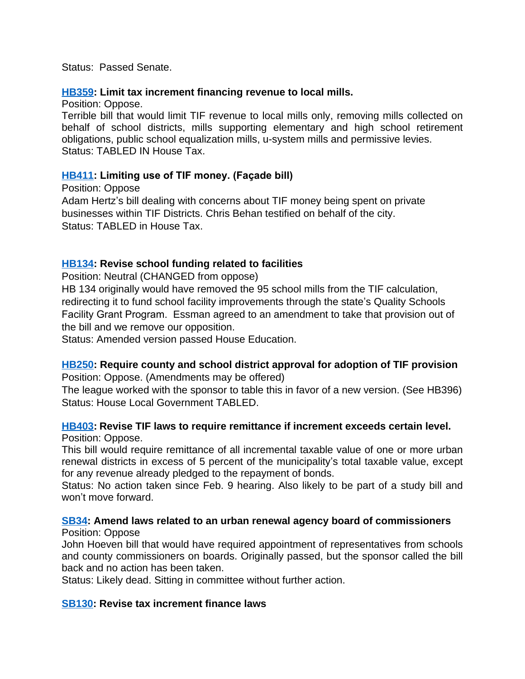Status: Passed Senate.

#### **[HB359](http://laws.leg.mt.gov/legprd/LAW0210W$BSIV.ActionQuery?P_BILL_NO1=359&P_BLTP_BILL_TYP_CD=HB&Z_ACTION=Find&P_SESS=20171): Limit tax increment financing revenue to local mills.**

Position: Oppose.

Terrible bill that would limit TIF revenue to local mills only, removing mills collected on behalf of school districts, mills supporting elementary and high school retirement obligations, public school equalization mills, u-system mills and permissive levies. Status: TABLED IN House Tax.

#### **[HB411](http://laws.leg.mt.gov/legprd/LAW0210W$BSIV.ActionQuery?P_BILL_NO1=411&P_BLTP_BILL_TYP_CD=HB&Z_ACTION=Find&P_SESS=20171): Limiting use of TIF money. (Façade bill)**

Position: Oppose Adam Hertz's bill dealing with concerns about TIF money being spent on private businesses within TIF Districts. Chris Behan testified on behalf of the city. Status: TABLED in House Tax.

# **[HB134](http://laws.leg.mt.gov/legprd/LAW0210W$BSIV.ActionQuery?P_BILL_NO1=134&P_BLTP_BILL_TYP_CD=HB&Z_ACTION=Find&P_SESS=20171): Revise school funding related to facilities**

Position: Neutral (CHANGED from oppose)

HB 134 originally would have removed the 95 school mills from the TIF calculation, redirecting it to fund school facility improvements through the state's Quality Schools Facility Grant Program. Essman agreed to an amendment to take that provision out of the bill and we remove our opposition.

Status: Amended version passed House Education.

#### **[HB250](http://laws.leg.mt.gov/legprd/LAW0210W$BSIV.ActionQuery?P_BILL_NO1=250&P_BLTP_BILL_TYP_CD=HB&Z_ACTION=Find&P_SESS=20171): Require county and school district approval for adoption of TIF provision** Position: Oppose. (Amendments may be offered)

The league worked with the sponsor to table this in favor of a new version. (See HB396) Status: House Local Government TABLED.

# **[HB403](http://laws.leg.mt.gov/legprd/LAW0210W$BSIV.ActionQuery?P_BILL_NO1=403&P_BLTP_BILL_TYP_CD=HB&Z_ACTION=Find&P_SESS=20171): Revise TIF laws to require remittance if increment exceeds certain level.**

Position: Oppose.

This bill would require remittance of all incremental taxable value of one or more urban renewal districts in excess of 5 percent of the municipality's total taxable value, except for any revenue already pledged to the repayment of bonds.

Status: No action taken since Feb. 9 hearing. Also likely to be part of a study bill and won't move forward.

#### **[SB34](http://laws.leg.mt.gov/legprd/LAW0210W$BSIV.ActionQuery?P_BILL_NO1=34&P_BLTP_BILL_TYP_CD=SB&Z_ACTION=Find&P_SESS=20171): Amend laws related to an urban renewal agency board of commissioners** Position: Oppose

John Hoeven bill that would have required appointment of representatives from schools and county commissioners on boards. Originally passed, but the sponsor called the bill back and no action has been taken.

Status: Likely dead. Sitting in committee without further action.

#### **[SB130:](http://laws.leg.mt.gov/legprd/LAW0210W$BSIV.ActionQuery?P_BILL_NO1=130&P_BLTP_BILL_TYP_CD=SB&Z_ACTION=Find&P_SESS=20171) Revise tax increment finance laws**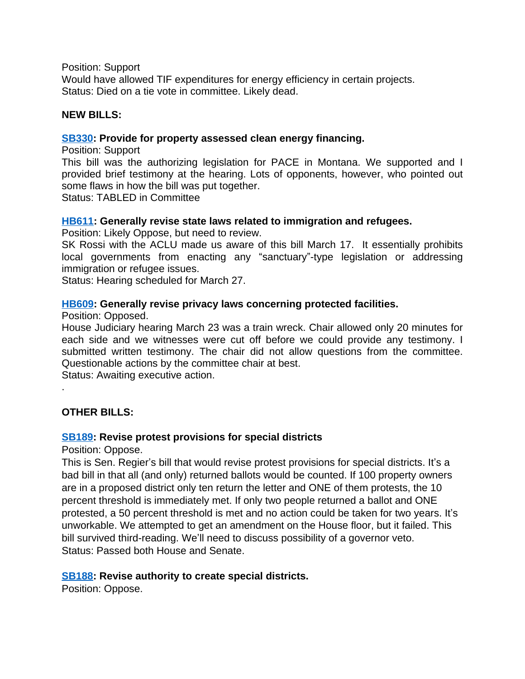Position: Support

Would have allowed TIF expenditures for energy efficiency in certain projects. Status: Died on a tie vote in committee. Likely dead.

#### **NEW BILLS:**

#### **[SB330:](http://laws.leg.mt.gov/legprd/LAW0210W$BSIV.ActionQuery?P_BILL_NO1=330&P_BLTP_BILL_TYP_CD=SB&Z_ACTION=Find&P_SESS=20171) Provide for property assessed clean energy financing.**

Position: Support

This bill was the authorizing legislation for PACE in Montana. We supported and I provided brief testimony at the hearing. Lots of opponents, however, who pointed out some flaws in how the bill was put together.

Status: TABLED in Committee

#### **[HB611](http://laws.leg.mt.gov/legprd/LAW0210W$BSIV.ActionQuery?P_BILL_NO1=611&P_BLTP_BILL_TYP_CD=HB&Z_ACTION=Find&P_SESS=20171): Generally revise state laws related to immigration and refugees.**

Position: Likely Oppose, but need to review.

SK Rossi with the ACLU made us aware of this bill March 17. It essentially prohibits local governments from enacting any "sanctuary"-type legislation or addressing immigration or refugee issues.

Status: Hearing scheduled for March 27.

#### **[HB609](http://laws.leg.mt.gov/legprd/LAW0210W$BSIV.ActionQuery?P_BILL_NO1=609&P_BLTP_BILL_TYP_CD=HB&Z_ACTION=Find&P_SESS=20171): Generally revise privacy laws concerning protected facilities.**

Position: Opposed.

House Judiciary hearing March 23 was a train wreck. Chair allowed only 20 minutes for each side and we witnesses were cut off before we could provide any testimony. I submitted written testimony. The chair did not allow questions from the committee. Questionable actions by the committee chair at best.

Status: Awaiting executive action.

#### **OTHER BILLS:**

.

#### **[SB189:](http://laws.leg.mt.gov/legprd/LAW0210W$BSIV.ActionQuery?P_BILL_NO1=189&P_BLTP_BILL_TYP_CD=SB&Z_ACTION=Find&P_SESS=20171) Revise protest provisions for special districts**

Position: Oppose.

This is Sen. Regier's bill that would revise protest provisions for special districts. It's a bad bill in that all (and only) returned ballots would be counted. If 100 property owners are in a proposed district only ten return the letter and ONE of them protests, the 10 percent threshold is immediately met. If only two people returned a ballot and ONE protested, a 50 percent threshold is met and no action could be taken for two years. It's unworkable. We attempted to get an amendment on the House floor, but it failed. This bill survived third-reading. We'll need to discuss possibility of a governor veto. Status: Passed both House and Senate.

#### **[SB188:](http://laws.leg.mt.gov/legprd/LAW0210W$BSIV.ActionQuery?P_BILL_NO1=188&P_BLTP_BILL_TYP_CD=SB&Z_ACTION=Find&P_SESS=20171) Revise authority to create special districts.**

Position: Oppose.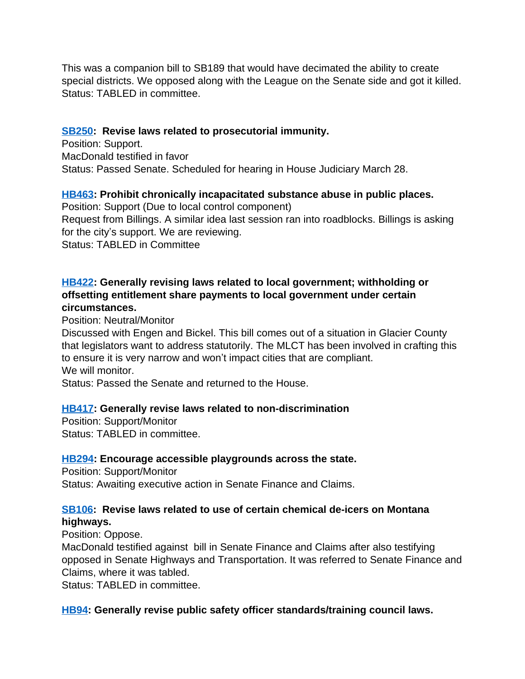This was a companion bill to SB189 that would have decimated the ability to create special districts. We opposed along with the League on the Senate side and got it killed. Status: TABLED in committee.

## **[SB250:](http://laws.leg.mt.gov/legprd/LAW0210W$BSIV.ActionQuery?P_BILL_NO1=250&P_BLTP_BILL_TYP_CD=SB&Z_ACTION=Find&P_SESS=20171) Revise laws related to prosecutorial immunity.**

Position: Support. MacDonald testified in favor Status: Passed Senate. Scheduled for hearing in House Judiciary March 28.

# **[HB463](http://laws.leg.mt.gov/legprd/LAW0210W$BSIV.ActionQuery?P_BILL_NO1=463&P_BLTP_BILL_TYP_CD=HB&Z_ACTION=Find&P_SESS=20171): Prohibit chronically incapacitated substance abuse in public places.**

Position: Support (Due to local control component) Request from Billings. A similar idea last session ran into roadblocks. Billings is asking for the city's support. We are reviewing. Status: TABLED in Committee

## **[HB422](http://laws.leg.mt.gov/legprd/LAW0210W$BSIV.ActionQuery?P_BILL_NO1=422&P_BLTP_BILL_TYP_CD=HB&Z_ACTION=Find&P_SESS=20171): Generally revising laws related to local government; withholding or offsetting entitlement share payments to local government under certain circumstances.**

Position: Neutral/Monitor

Discussed with Engen and Bickel. This bill comes out of a situation in Glacier County that legislators want to address statutorily. The MLCT has been involved in crafting this to ensure it is very narrow and won't impact cities that are compliant. We will monitor.

Status: Passed the Senate and returned to the House.

#### **[HB417](http://laws.leg.mt.gov/legprd/LAW0210W$BSIV.ActionQuery?P_BILL_NO1=417&P_BLTP_BILL_TYP_CD=HB&Z_ACTION=Find&P_SESS=20171): Generally revise laws related to non-discrimination**

Position: Support/Monitor Status: TABLED in committee.

#### **[HB294](http://laws.leg.mt.gov/legprd/LAW0210W$BSIV.ActionQuery?P_BILL_NO1=294&P_BLTP_BILL_TYP_CD=HB&Z_ACTION=Find&P_SESS=20171): Encourage accessible playgrounds across the state.**

Position: Support/Monitor Status: Awaiting executive action in Senate Finance and Claims.

## **[SB106:](http://laws.leg.mt.gov/legprd/LAW0210W$BSIV.ActionQuery?P_BILL_NO1=106&P_BLTP_BILL_TYP_CD=SB&Z_ACTION=Find&P_SESS=20171) Revise laws related to use of certain chemical de-icers on Montana highways.**

Position: Oppose.

MacDonald testified against bill in Senate Finance and Claims after also testifying opposed in Senate Highways and Transportation. It was referred to Senate Finance and Claims, where it was tabled.

Status: TABLED in committee.

# **[HB94:](http://laws.leg.mt.gov/legprd/LAW0210W$BSIV.ActionQuery?P_BILL_NO1=94&P_BLTP_BILL_TYP_CD=HB&Z_ACTION=Find&P_SESS=20171) Generally revise public safety officer standards/training council laws.**